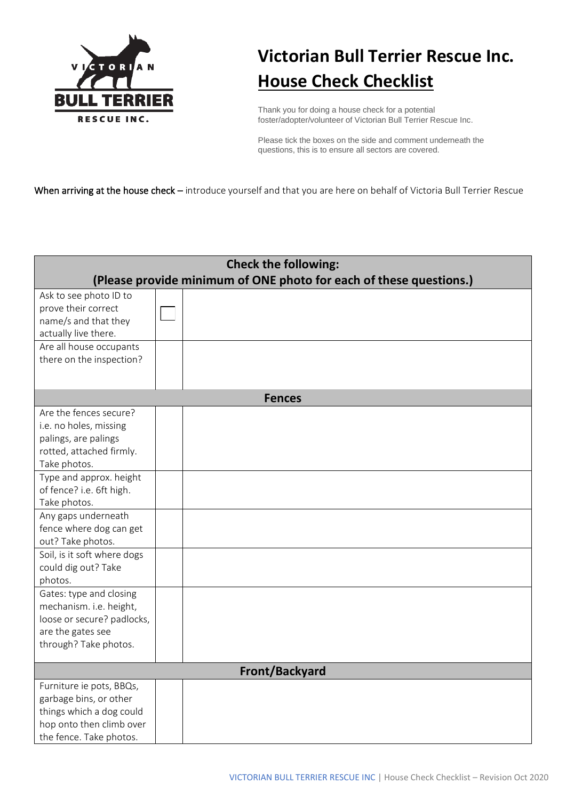

## **Victorian Bull Terrier Rescue Inc. House Check Checklist**

Thank you for doing a house check for a potential foster/adopter/volunteer of Victorian Bull Terrier Rescue Inc.

Please tick the boxes on the side and comment underneath the questions, this is to ensure all sectors are covered.

When arriving at the house check – introduce yourself and that you are here on behalf of Victoria Bull Terrier Rescue

| <b>Check the following:</b><br>(Please provide minimum of ONE photo for each of these questions.)                                     |  |               |  |  |  |  |
|---------------------------------------------------------------------------------------------------------------------------------------|--|---------------|--|--|--|--|
| Ask to see photo ID to<br>prove their correct<br>name/s and that they<br>actually live there.                                         |  |               |  |  |  |  |
| Are all house occupants<br>there on the inspection?                                                                                   |  |               |  |  |  |  |
|                                                                                                                                       |  | <b>Fences</b> |  |  |  |  |
| Are the fences secure?<br>i.e. no holes, missing<br>palings, are palings<br>rotted, attached firmly.<br>Take photos.                  |  |               |  |  |  |  |
| Type and approx. height<br>of fence? i.e. 6ft high.<br>Take photos.                                                                   |  |               |  |  |  |  |
| Any gaps underneath<br>fence where dog can get<br>out? Take photos.                                                                   |  |               |  |  |  |  |
| Soil, is it soft where dogs<br>could dig out? Take<br>photos.                                                                         |  |               |  |  |  |  |
| Gates: type and closing<br>mechanism. i.e. height,<br>loose or secure? padlocks,<br>are the gates see<br>through? Take photos.        |  |               |  |  |  |  |
| <b>Front/Backyard</b>                                                                                                                 |  |               |  |  |  |  |
| Furniture ie pots, BBQs,<br>garbage bins, or other<br>things which a dog could<br>hop onto then climb over<br>the fence. Take photos. |  |               |  |  |  |  |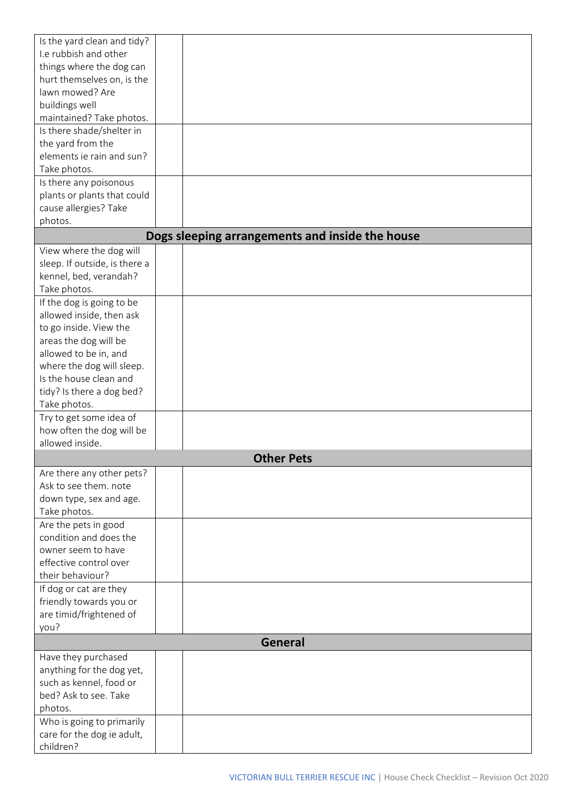| Is the yard clean and tidy?   |                                                 |
|-------------------------------|-------------------------------------------------|
| I.e rubbish and other         |                                                 |
| things where the dog can      |                                                 |
| hurt themselves on, is the    |                                                 |
| lawn mowed? Are               |                                                 |
| buildings well                |                                                 |
| maintained? Take photos.      |                                                 |
| Is there shade/shelter in     |                                                 |
|                               |                                                 |
| the yard from the             |                                                 |
| elements ie rain and sun?     |                                                 |
| Take photos.                  |                                                 |
| Is there any poisonous        |                                                 |
| plants or plants that could   |                                                 |
| cause allergies? Take         |                                                 |
| photos.                       |                                                 |
|                               | Dogs sleeping arrangements and inside the house |
| View where the dog will       |                                                 |
| sleep. If outside, is there a |                                                 |
| kennel, bed, verandah?        |                                                 |
| Take photos.                  |                                                 |
| If the dog is going to be     |                                                 |
| allowed inside, then ask      |                                                 |
| to go inside. View the        |                                                 |
| areas the dog will be         |                                                 |
| allowed to be in, and         |                                                 |
| where the dog will sleep.     |                                                 |
| Is the house clean and        |                                                 |
|                               |                                                 |
| tidy? Is there a dog bed?     |                                                 |
| Take photos.                  |                                                 |
| Try to get some idea of       |                                                 |
| how often the dog will be     |                                                 |
| allowed inside.               |                                                 |
|                               | <b>Other Pets</b>                               |
| Are there any other pets?     |                                                 |
| Ask to see them. note         |                                                 |
| down type, sex and age.       |                                                 |
| Take photos.                  |                                                 |
| Are the pets in good          |                                                 |
| condition and does the        |                                                 |
| owner seem to have            |                                                 |
| effective control over        |                                                 |
| their behaviour?              |                                                 |
| If dog or cat are they        |                                                 |
| friendly towards you or       |                                                 |
| are timid/frightened of       |                                                 |
| you?                          |                                                 |
|                               | <b>General</b>                                  |
| Have they purchased           |                                                 |
| anything for the dog yet,     |                                                 |
| such as kennel, food or       |                                                 |
|                               |                                                 |
| bed? Ask to see. Take         |                                                 |
| photos.                       |                                                 |
| Who is going to primarily     |                                                 |
| care for the dog ie adult,    |                                                 |
| children?                     |                                                 |